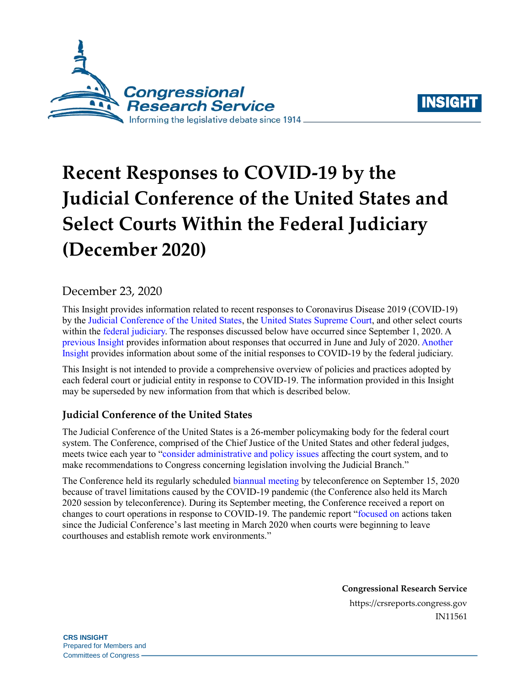



# **Recent Responses to COVID-19 by the Judicial Conference of the United States and Select Courts Within the Federal Judiciary (December 2020)**

# December 23, 2020

This Insight provides information related to recent responses to Coronavirus Disease 2019 (COVID-19) by the [Judicial Conference of the United States,](https://www.uscourts.gov/about-federal-courts/governance-judicial-conference) the [United States Supreme Court,](https://www.supremecourt.gov/) and other select courts within the [federal judiciary.](https://www.justice.gov/usao/justice-101/federal-courts) The responses discussed below have occurred since September 1, 2020. A [previous Insight](https://crsreports.congress.gov/product/pdf/IN/IN11464) provides information about responses that occurred in June and July of 2020[. Another](https://crsreports.congress.gov/product/pdf/IN/IN11252)  [Insight](https://crsreports.congress.gov/product/pdf/IN/IN11252) provides information about some of the initial responses to COVID-19 by the federal judiciary.

This Insight is not intended to provide a comprehensive overview of policies and practices adopted by each federal court or judicial entity in response to COVID-19. The information provided in this Insight may be superseded by new information from that which is described below.

### **Judicial Conference of the United States**

The Judicial Conference of the United States is a 26-member policymaking body for the federal court system. The Conference, comprised of the Chief Justice of the United States and other federal judges, meets twice each year to ["consider administrative and policy issues](https://www.uscourts.gov/news/2020/08/14/judicial-conference-approves-measures-increase-security-federal-judges) affecting the court system, and to make recommendations to Congress concerning legislation involving the Judicial Branch."

The Conference held its regularly scheduled [biannual meeting](https://www.uscourts.gov/news/2020/09/15/all-too-frequent-tragedies-demand-action) by teleconference on September 15, 2020 because of travel limitations caused by the COVID-19 pandemic (the Conference also held its March 2020 session by teleconference). During its September meeting, the Conference received a report on changes to court operations in response to COVID-19. The pandemic report ["focused on](https://www.uscourts.gov/news/2020/09/15/all-too-frequent-tragedies-demand-action) actions taken since the Judicial Conference's last meeting in March 2020 when courts were beginning to leave courthouses and establish remote work environments."

> **Congressional Research Service** https://crsreports.congress.gov IN11561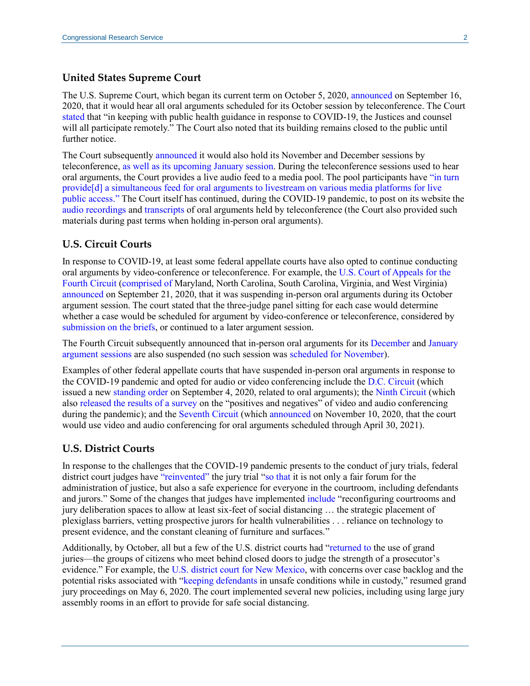#### **United States Supreme Court**

The U.S. Supreme Court, which began its current term on October 5, 2020[, announced](https://www.supremecourt.gov/publicinfo/press/pressreleases/pr_09-16-20) on September 16, 2020, that it would hear all oral arguments scheduled for its October session by teleconference. The Court [stated](https://www.supremecourt.gov/publicinfo/press/pressreleases/pr_09-16-20) that "in keeping with public health guidance in response to COVID-19, the Justices and counsel will all participate remotely." The Court also noted that its building remains closed to the public until further notice.

The Court subsequently [announced](https://www.supremecourt.gov/publicinfo/press/pressreleases/ma_10-22-20) it would also hold its November and December sessions by teleconference, [as well as its upcoming January session.](https://www.supremecourt.gov/publicinfo/press/pressreleases/pr_11-25-20) During the teleconference sessions used to hear oral arguments, the Court provides a live audio feed to a media pool. The pool participants have ["in turn](https://www.supremecourt.gov/publicinfo/press/pressreleases/pr_11-25-20)  [provide\[d\] a simultaneous feed for oral arguments to livestream on various media platforms for live](https://www.supremecourt.gov/publicinfo/press/pressreleases/pr_11-25-20)  [public access."](https://www.supremecourt.gov/publicinfo/press/pressreleases/pr_11-25-20) The Court itself has continued, during the COVID-19 pandemic, to post on its website th[e](https://www.supremecourt.gov/oral_arguments/argument_audio/2020) [audio recordings](https://www.supremecourt.gov/oral_arguments/argument_audio/2020) and [transcripts](https://www.supremecourt.gov/oral_arguments/argument_transcript/2020) of oral arguments held by teleconference (the Court also provided such materials during past terms when holding in-person oral arguments).

#### **U.S. Circuit Courts**

In response to COVID-19, at least some federal appellate courts have also opted to continue conducting oral arguments by video-conference or teleconference. For example, the [U.S. Court of Appeals for the](https://www.ca4.uscourts.gov/)  [Fourth Circuit](https://www.ca4.uscourts.gov/) [\(comprised of](https://www.uscourts.gov/about-federal-courts/federal-courts-public/court-website-links) Maryland, North Carolina, South Carolina, Virginia, and West Virginia) [announced](https://www.ca4.uscourts.gov/news-announcements/latest-news-announcements/2020/09/21/suspension-of-in-person-oral-arguments-for-october-27-30-2020) on September 21, 2020, that it was suspending in-person oral arguments during its October argument session. The court stated that the three-judge panel sitting for each case would determine whether a case would be scheduled for argument by video-conference or teleconference, considered by [submission on the briefs,](https://www.google.com/url?sa=t&rct=j&q=&esrc=s&source=web&cd=&ved=2ahUKEwjl-p-w8dXtAhXSjVkKHa-3BfUQFjAKegQIARAC&url=http%3A%2F%2Fwww.ca4.uscourts.gov%2Fdocs%2Fpdfs%2Ffourthcircuitappealprocess.pdf&usg=AOvVaw2iqWPKeBWGRPuL1whyntY1) or continued to a later argument session.

The Fourth Circuit subsequently announced that in-person oral arguments for its [December](https://www.ca4.uscourts.gov/news-announcements/article/2020/10/19/suspension-of-in-person-oral-arguments-for-december-7-11-2020) and [January](https://www.ca4.uscourts.gov/news-announcements/article/2020/12/17/suspension-of-in-person-oral-arguments-for-january-25-29-2021)  [argument sessions](https://www.ca4.uscourts.gov/news-announcements/article/2020/12/17/suspension-of-in-person-oral-arguments-for-january-25-29-2021) are also suspended (no such session was [scheduled for November\)](https://www.ca4.uscourts.gov/oral-argument/oral-argument-calendar).

Examples of other federal appellate courts that have suspended in-person oral arguments in response to the COVID-19 pandemic and opted for audio or video conferencing include the [D.C. Circuit](https://www.cadc.uscourts.gov/internet/home.nsf) (which issued a new [standing order](https://www.cadc.uscourts.gov/internet/home.nsf/Content/Announcement+-+Standing+Order+-+In+re+Court+Operations+in+Light+of+the+COVID-19+Pandemic/$FILE/StandingOrderSept-4-2020.pdf) on September 4, 2020, related to oral arguments); the [Ninth Circuit](https://www.ca9.uscourts.gov/) (which also [released the results of a survey](https://www.ca9.uscourts.gov/ce9/view.php?pk_id=0000001026) on the "positives and negatives" of video and audio conferencing during the pandemic); and th[e Seventh Circuit](http://www.ca7.uscourts.gov/) (which [announced](http://www.ca7.uscourts.gov/news/COVID-19_order_through2021_April30.pdf) on November 10, 2020, that the court would use video and audio conferencing for oral arguments scheduled through April 30, 2021).

#### **U.S. District Courts**

In response to the challenges that the COVID-19 pandemic presents to the conduct of jury trials, federal district court judges have ["reinvented"](https://www.uscourts.gov/news/2020/08/27/federal-judges-reinventing-jury-trial-during-pandemic) the jury trial ["so that](https://www.uscourts.gov/news/2020/08/27/federal-judges-reinventing-jury-trial-during-pandemic) it is not only a fair forum for the administration of justice, but also a safe experience for everyone in the courtroom, including defendants and jurors." Some of the changes that judges have implemented [include](https://www.uscourts.gov/news/2020/08/27/federal-judges-reinventing-jury-trial-during-pandemic) "reconfiguring courtrooms and jury deliberation spaces to allow at least six-feet of social distancing … the strategic placement of plexiglass barriers, vetting prospective jurors for health vulnerabilities . . . reliance on technology to present evidence, and the constant cleaning of furniture and surfaces."

Additionally, by October, all but a few of the U.S. district courts had ["returned to](https://www.uscourts.gov/news/2020/10/27/grand-juries-carry-during-pandemic) the use of grand juries—the groups of citizens who meet behind closed doors to judge the strength of a prosecutor's evidence." For example, the [U.S. district court for New Mexico,](https://www.nmd.uscourts.gov/) with concerns over case backlog and the potential risks associated with ["keeping defendants](https://www.uscourts.gov/news/2020/10/27/grand-juries-carry-during-pandemic) in unsafe conditions while in custody," resumed grand jury proceedings on May 6, 2020. The court implemented several new policies, including using large jury assembly rooms in an effort to provide for safe social distancing.